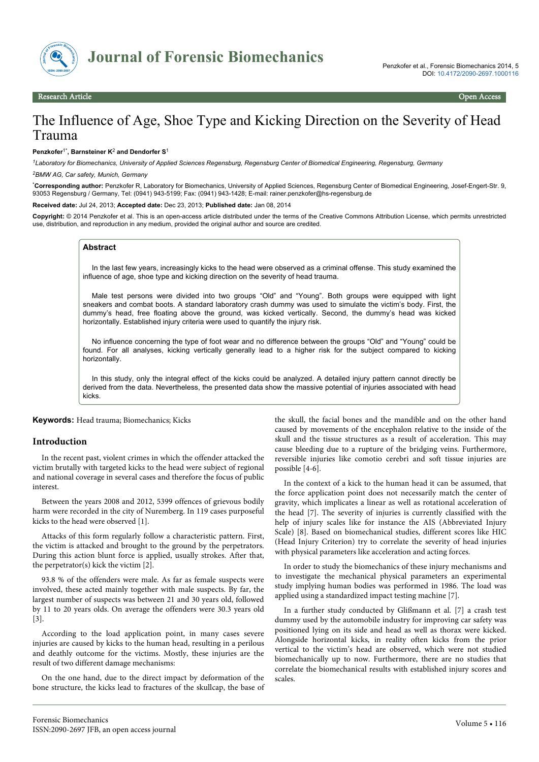

# The Influence of Age, Shoe Type and Kicking Direction on the Severity of Head Trauma

#### **Penzkofer**1\***, Barnsteiner K**<sup>2</sup>  **and Dendorfer S**<sup>1</sup>

*<sup>1</sup>Laboratory for Biomechanics, University of Applied Sciences Regensburg, Regensburg Center of Biomedical Engineering, Regensburg, Germany <sup>2</sup>BMW AG, Car safety, Munich, Germany*

\***Corresponding author:** Penzkofer R, Laboratory for Biomechanics, University of Applied Sciences, Regensburg Center of Biomedical Engineering, Josef-Engert-Str. 9, 93053 Regensburg / Germany, Tel: (0941) 943-5199; Fax: (0941) 943-1428; E-mail: rainer.penzkofer@hs-regensburg.de

**Received date:** Jul 24, 2013; **Accepted date:** Dec 23, 2013; **Published date:** Jan 08, 2014

**Copyright:** © 2014 Penzkofer et al. This is an open-access article distributed under the terms of the Creative Commons Attribution License, which permits unrestricted use, distribution, and reproduction in any medium, provided the original author and source are credited.

## **Abstract**

In the last few years, increasingly kicks to the head were observed as a criminal offense. This study examined the influence of age, shoe type and kicking direction on the severity of head trauma.

Male test persons were divided into two groups "Old" and "Young". Both groups were equipped with light sneakers and combat boots. A standard laboratory crash dummy was used to simulate the victim's body. First, the dummy's head, free floating above the ground, was kicked vertically. Second, the dummy's head was kicked horizontally. Established injury criteria were used to quantify the injury risk.

No influence concerning the type of foot wear and no difference between the groups "Old" and "Young" could be found. For all analyses, kicking vertically generally lead to a higher risk for the subject compared to kicking horizontally.

In this study, only the integral effect of the kicks could be analyzed. A detailed injury pattern cannot directly be derived from the data. Nevertheless, the presented data show the massive potential of injuries associated with head kicks.

**Keywords:** Head trauma; Biomechanics; Kicks

# **Introduction**

In the recent past, violent crimes in which the offender attacked the victim brutally with targeted kicks to the head were subject of regional and national coverage in several cases and therefore the focus of public interest.

Between the years 2008 and 2012, 5399 offences of grievous bodily harm were recorded in the city of Nuremberg. In 119 cases purposeful kicks to the head were observed [1].

Attacks of this form regularly follow a characteristic pattern. First, the victim is attacked and brought to the ground by the perpetrators. During this action blunt force is applied, usually strokes. After that, the perpetrator(s) kick the victim [2].

93.8 % of the offenders were male. As far as female suspects were involved, these acted mainly together with male suspects. By far, the largest number of suspects was between 21 and 30 years old, followed by 11 to 20 years olds. On average the offenders were 30.3 years old [3].

According to the load application point, in many cases severe injuries are caused by kicks to the human head, resulting in a perilous and deathly outcome for the victims. Mostly, these injuries are the result of two different damage mechanisms:

On the one hand, due to the direct impact by deformation of the bone structure, the kicks lead to fractures of the skullcap, the base of the skull, the facial bones and the mandible and on the other hand caused by movements of the encephalon relative to the inside of the skull and the tissue structures as a result of acceleration. This may cause bleeding due to a rupture of the bridging veins. Furthermore, reversible injuries like comotio cerebri and soft tissue injuries are possible [4-6].

In the context of a kick to the human head it can be assumed, that the force application point does not necessarily match the center of gravity, which implicates a linear as well as rotational acceleration of the head [7]. The severity of injuries is currently classified with the help of injury scales like for instance the AIS (Abbreviated Injury Scale) [8]. Based on biomechanical studies, different scores like HIC (Head Injury Criterion) try to correlate the severity of head injuries with physical parameters like acceleration and acting forces.

In order to study the biomechanics of these injury mechanisms and to investigate the mechanical physical parameters an experimental study implying human bodies was performed in 1986. The load was applied using a standardized impact testing machine [7].

In a further study conducted by Glißmann et al. [7] a crash test dummy used by the automobile industry for improving car safety was positioned lying on its side and head as well as thorax were kicked. Alongside horizontal kicks, in reality often kicks from the prior vertical to the victim's head are observed, which were not studied biomechanically up to now. Furthermore, there are no studies that correlate the biomechanical results with established injury scores and scales.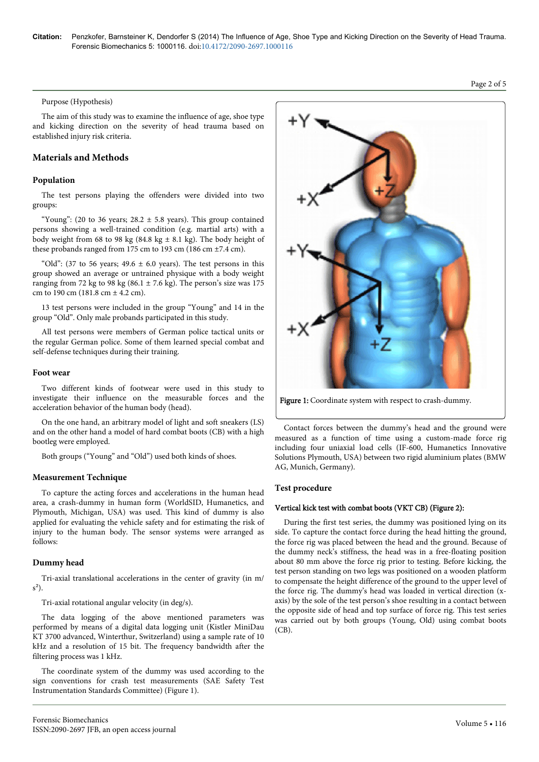#### Purpose (Hypothesis)

The aim of this study was to examine the influence of age, shoe type and kicking direction on the severity of head trauma based on established injury risk criteria.

## **Materials and Methods**

## **Population**

The test persons playing the offenders were divided into two groups:

"Young": (20 to 36 years;  $28.2 \pm 5.8$  years). This group contained persons showing a well-trained condition (e.g. martial arts) with a body weight from 68 to 98 kg (84.8 kg  $\pm$  8.1 kg). The body height of these probands ranged from 175 cm to 193 cm (186 cm ±7.4 cm).

"Old": (37 to 56 years;  $49.6 \pm 6.0$  years). The test persons in this group showed an average or untrained physique with a body weight ranging from 72 kg to 98 kg (86.1  $\pm$  7.6 kg). The person's size was 175 cm to 190 cm (181.8 cm  $\pm$  4.2 cm).

13 test persons were included in the group "Young" and 14 in the group "Old". Only male probands participated in this study.

All test persons were members of German police tactical units or the regular German police. Some of them learned special combat and self-defense techniques during their training.

#### **Foot wear**

Two different kinds of footwear were used in this study to investigate their influence on the measurable forces and the acceleration behavior of the human body (head).

On the one hand, an arbitrary model of light and soft sneakers (LS) and on the other hand a model of hard combat boots (CB) with a high bootleg were employed.

Both groups ("Young" and "Old") used both kinds of shoes.

## **Measurement Technique**

To capture the acting forces and accelerations in the human head area, a crash-dummy in human form (WorldSID, Humanetics, and Plymouth, Michigan, USA) was used. This kind of dummy is also applied for evaluating the vehicle safety and for estimating the risk of injury to the human body. The sensor systems were arranged as follows:

## **Dummy head**

Tri-axial translational accelerations in the center of gravity (in m/  $s^2$ ).

Tri-axial rotational angular velocity (in deg/s).

The data logging of the above mentioned parameters was performed by means of a digital data logging unit (Kistler MiniDau KT 3700 advanced, Winterthur, Switzerland) using a sample rate of 10 kHz and a resolution of 15 bit. The frequency bandwidth after the filtering process was 1 kHz.

The coordinate system of the dummy was used according to the sign conventions for crash test measurements (SAE Safety Test Instrumentation Standards Committee) (Figure 1).



Figure 1: Coordinate system with respect to crash-dummy.

Contact forces between the dummy's head and the ground were measured as a function of time using a custom-made force rig including four uniaxial load cells (IF-600, Humanetics Innovative Solutions Plymouth, USA) between two rigid aluminium plates (BMW AG, Munich, Germany).

## **Test procedure**

## Vertical kick test with combat boots (VKT CB) (Figure 2):

During the first test series, the dummy was positioned lying on its side. To capture the contact force during the head hitting the ground, the force rig was placed between the head and the ground. Because of the dummy neck's stiffness, the head was in a free-floating position about 80 mm above the force rig prior to testing. Before kicking, the test person standing on two legs was positioned on a wooden platform to compensate the height difference of the ground to the upper level of the force rig. The dummy's head was loaded in vertical direction (xaxis) by the sole of the test person's shoe resulting in a contact between the opposite side of head and top surface of force rig. This test series was carried out by both groups (Young, Old) using combat boots  $(CB)$ .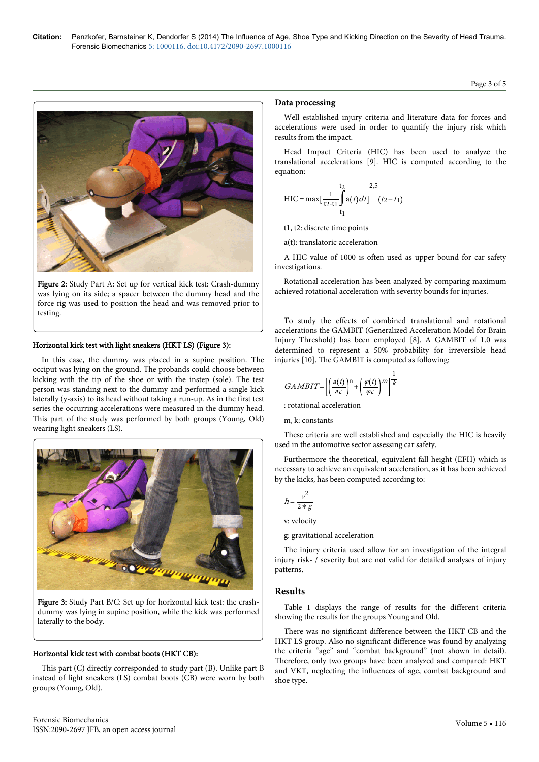

Figure 2: Study Part A: Set up for vertical kick test: Crash-dummy was lying on its side; a spacer between the dummy head and the force rig was used to position the head and was removed prior to testing.

## Horizontal kick test with light sneakers (HKT LS) (Figure 3):

In this case, the dummy was placed in a supine position. The occiput was lying on the ground. The probands could choose between kicking with the tip of the shoe or with the instep (sole). The test person was standing next to the dummy and performed a single kick laterally (y-axis) to its head without taking a run-up. As in the first test series the occurring accelerations were measured in the dummy head. This part of the study was performed by both groups (Young, Old) wearing light sneakers (LS).



Figure 3: Study Part B/C: Set up for horizontal kick test: the crashdummy was lying in supine position, while the kick was performed laterally to the body.

#### Horizontal kick test with combat boots (HKT CB):

This part (C) directly corresponded to study part (B). Unlike part B instead of light sneakers (LS) combat boots (CB) were worn by both groups (Young, Old).

## **Data processing**

Well established injury criteria and literature data for forces and accelerations were used in order to quantify the injury risk which results from the impact.

Head Impact Criteria (HIC) has been used to analyze the translational accelerations [9]. HIC is computed according to the equation:

$$
HIC = \max[\frac{t_2}{t_2 - t_1} \int_{t_1}^{t_2} a(t) dt] \quad (t_2 - t_1)
$$

t1, t2: discrete time points

a(t): translatoric acceleration

A HIC value of 1000 is often used as upper bound for car safety investigations.

Rotational acceleration has been analyzed by comparing maximum achieved rotational acceleration with severity bounds for injuries.

To study the effects of combined translational and rotational accelerations the GAMBIT (Generalized Acceleration Model for Brain Injury Threshold) has been employed [8]. A GAMBIT of 1.0 was determined to represent a 50% probability for irreversible head injuries [10]. The GAMBIT is computed as following:

$$
GAMBIT{=}\left[\left(\frac{a(t)}{ac}\right)^{\rm n}+\left(\frac{\varphi(t)}{\varphi_c}\right)^{\rm m}\right]^{\frac{1}{K}}
$$

: rotational acceleration

m, k: constants

These criteria are well established and especially the HIC is heavily used in the automotive sector assessing car safety.

Furthermore the theoretical, equivalent fall height (EFH) which is necessary to achieve an equivalent acceleration, as it has been achieved by the kicks, has been computed according to:

$$
h = \frac{v^2}{2 \times g}
$$

v: velocity

g: gravitational acceleration

The injury criteria used allow for an investigation of the integral injury risk- / severity but are not valid for detailed analyses of injury patterns.

#### **Results**

Table 1 displays the range of results for the different criteria showing the results for the groups Young and Old.

There was no significant difference between the HKT CB and the HKT LS group. Also no significant difference was found by analyzing the criteria "age" and "combat background" (not shown in detail). Therefore, only two groups have been analyzed and compared: HKT and VKT, neglecting the influences of age, combat background and shoe type.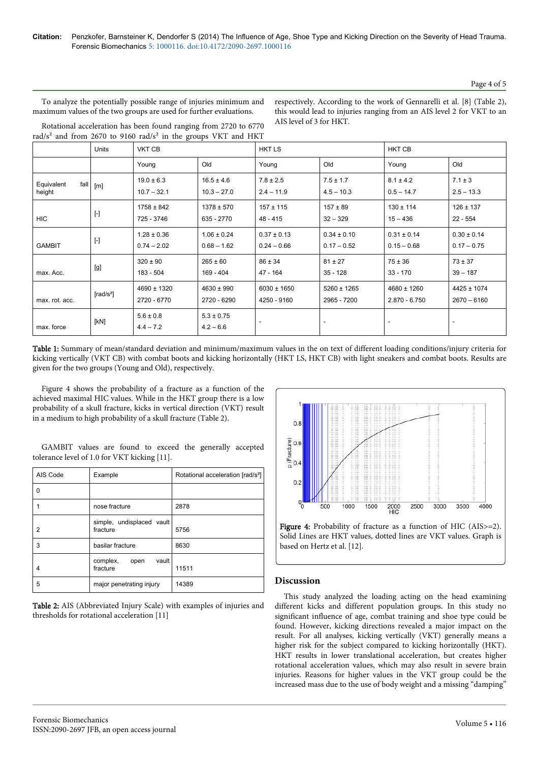#### Page 4 of 5

To analyze the potentially possible range of injuries minimum and maximum values of the two groups are used for further evaluations.

respectively. According to the work of Gennarelli et al. [8] (Table 2), this would lead to injuries ranging from an AIS level 2 for VKT to an AIS level of 3 for HKT.

|  |  |  |  | Rotational acceleration has been found ranging from 2720 to 6770                      |  |  |
|--|--|--|--|---------------------------------------------------------------------------------------|--|--|
|  |  |  |  | rad/s <sup>2</sup> and from 2670 to 9160 rad/s <sup>2</sup> in the groups VKT and HKT |  |  |

|                      | <b>Units</b>                                                                                                                                                                                              | <b>VKT CB</b>                    |                                  | <b>HKTLS</b>                     |                                  | <b>HKT CB</b>                      |                                  |  |
|----------------------|-----------------------------------------------------------------------------------------------------------------------------------------------------------------------------------------------------------|----------------------------------|----------------------------------|----------------------------------|----------------------------------|------------------------------------|----------------------------------|--|
|                      |                                                                                                                                                                                                           | Young                            | Old                              | Young                            | Old                              | Young                              | Old                              |  |
| Equivalent<br>height | fall $\lfloor m \rfloor$                                                                                                                                                                                  | $19.0 \pm 6.3$<br>$10.7 - 32.1$  | $16.5 \pm 4.6$<br>$10.3 - 27.0$  | $7.8 \pm 2.5$<br>$2.4 - 11.9$    | $7.5 \pm 1.7$<br>$4.5 - 10.3$    | $8.1 \pm 4.2$<br>$0.5 - 14.7$      | $7.1 \pm 3$<br>$2.5 - 13.3$      |  |
| <b>HIC</b>           | $[\cdot]$                                                                                                                                                                                                 | $1758 \pm 842$<br>725 - 3746     | $1378 \pm 570$<br>635 - 2770     | $157 \pm 115$<br>48 - 415        | $157 \pm 89$<br>$32 - 329$       | $130 \pm 114$<br>$15 - 436$        | $126 \pm 137$<br>$22 - 554$      |  |
| <b>GAMBIT</b>        | $[\cdot] % \centering \includegraphics[width=0.9\textwidth]{images/TrDiM-Architecture.png} % \caption{The first two different values of $S$ and $S$ are shown in the left.} \label{TrDiM-Architecture} %$ | $1.28 \pm 0.36$<br>$0.74 - 2.02$ | $1.06 \pm 0.24$<br>$0.68 - 1.62$ | $0.37 \pm 0.13$<br>$0.24 - 0.66$ | $0.34 \pm 0.10$<br>$0.17 - 0.52$ | $0.31 \pm 0.14$<br>$0.15 - 0.68$   | $0.30 \pm 0.14$<br>$0.17 - 0.75$ |  |
| max. Acc.            | [g]                                                                                                                                                                                                       | $320 \pm 90$<br>183 - 504        | $265 \pm 60$<br>169 - 404        | $86 \pm 34$<br>$47 - 164$        | $81 \pm 27$<br>$35 - 128$        | $75 \pm 36$<br>$33 - 170$          | $73 \pm 37$<br>$39 - 187$        |  |
| max. rot. acc.       | [rad/s <sup>2</sup> ]                                                                                                                                                                                     | 4690 ± 1320<br>2720 - 6770       | $4630 \pm 990$<br>2720 - 6290    | $6030 \pm 1650$<br>4250 - 9160   | $5260 \pm 1265$<br>2965 - 7200   | $4680 \pm 1260$<br>$2.870 - 6.750$ | $4425 \pm 1074$<br>$2670 - 6160$ |  |
| max. force           | [kN]                                                                                                                                                                                                      | $5.6 \pm 0.8$<br>$4.4 - 7.2$     | $5.3 \pm 0.75$<br>$4.2 - 6.6$    |                                  |                                  |                                    |                                  |  |

Table 1: Summary of mean/standard deviation and minimum/maximum values in the on text of different loading conditions/injury criteria for kicking vertically (VKT CB) with combat boots and kicking horizontally (HKT LS, HKT CB) with light sneakers and combat boots. Results are given for the two groups (Young and Old), respectively.

Figure 4 shows the probability of a fracture as a function of the achieved maximal HIC values. While in the HKT group there is a low probability of a skull fracture, kicks in vertical direction (VKT) result in a medium to high probability of a skull fracture (Table 2).

GAMBIT values are found to exceed the generally accepted tolerance level of 1.0 for VKT kicking [11].

| AIS Code | Example                               | Rotational acceleration [rad/s <sup>2</sup> ] |
|----------|---------------------------------------|-----------------------------------------------|
| 0        |                                       |                                               |
|          | nose fracture                         | 2878                                          |
| 2        | simple, undisplaced vault<br>fracture | 5756                                          |
| 3        | basilar fracture                      | 8630                                          |
| 4        | vault<br>complex,<br>open<br>fracture | 11511                                         |
| 5        | major penetrating injury              | 14389                                         |

Table 2: AIS (Abbreviated Injury Scale) with examples of injuries and thresholds for rotational acceleration [11]





# **Discussion**

This study analyzed the loading acting on the head examining different kicks and different population groups. In this study no significant influence of age, combat training and shoe type could be found. However, kicking directions revealed a major impact on the result. For all analyses, kicking vertically (VKT) generally means a higher risk for the subject compared to kicking horizontally (HKT). HKT results in lower translational acceleration, but creates higher rotational acceleration values, which may also result in severe brain injuries. Reasons for higher values in the VKT group could be the increased mass due to the use of body weight and a missing "damping"